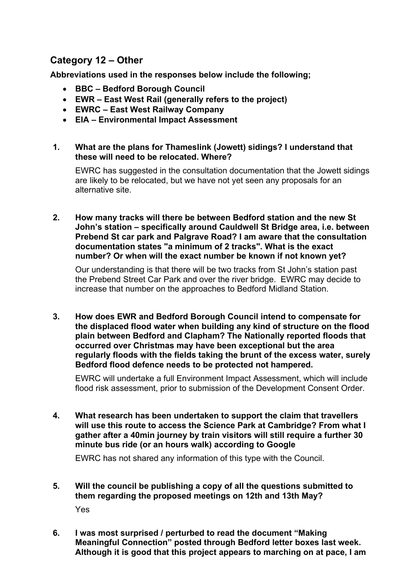# **Category 12 – Other**

**Abbreviations used in the responses below include the following;** 

- **BBC – Bedford Borough Council**
- **EWR – East West Rail (generally refers to the project)**
- **EWRC – East West Railway Company**
- **EIA – Environmental Impact Assessment**
- **1. What are the plans for Thameslink (Jowett) sidings? I understand that these will need to be relocated. Where?**

EWRC has suggested in the consultation documentation that the Jowett sidings are likely to be relocated, but we have not yet seen any proposals for an alternative site.

**2. How many tracks will there be between Bedford station and the new St John's station – specifically around Cauldwell St Bridge area, i.e. between Prebend St car park and Palgrave Road? I am aware that the consultation documentation states "a minimum of 2 tracks". What is the exact number? Or when will the exact number be known if not known yet?**

Our understanding is that there will be two tracks from St John's station past the Prebend Street Car Park and over the river bridge. EWRC may decide to increase that number on the approaches to Bedford Midland Station.

**3. How does EWR and Bedford Borough Council intend to compensate for the displaced flood water when building any kind of structure on the flood plain between Bedford and Clapham? The Nationally reported floods that occurred over Christmas may have been exceptional but the area regularly floods with the fields taking the brunt of the excess water, surely Bedford flood defence needs to be protected not hampered.** 

EWRC will undertake a full Environment Impact Assessment, which will include flood risk assessment, prior to submission of the Development Consent Order.

**4. What research has been undertaken to support the claim that travellers will use this route to access the Science Park at Cambridge? From what I gather after a 40min journey by train visitors will still require a further 30 minute bus ride (or an hours walk) according to Google** 

EWRC has not shared any information of this type with the Council.

- **5. Will the council be publishing a copy of all the questions submitted to them regarding the proposed meetings on 12th and 13th May?** Yes
- **6. I was most surprised / perturbed to read the document "Making Meaningful Connection" posted through Bedford letter boxes last week. Although it is good that this project appears to marching on at pace, I am**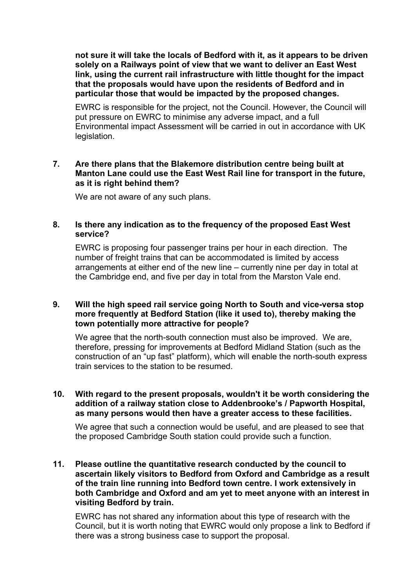**not sure it will take the locals of Bedford with it, as it appears to be driven solely on a Railways point of view that we want to deliver an East West link, using the current rail infrastructure with little thought for the impact that the proposals would have upon the residents of Bedford and in particular those that would be impacted by the proposed changes.**

EWRC is responsible for the project, not the Council. However, the Council will put pressure on EWRC to minimise any adverse impact, and a full Environmental impact Assessment will be carried in out in accordance with UK legislation.

# **7. Are there plans that the Blakemore distribution centre being built at Manton Lane could use the East West Rail line for transport in the future, as it is right behind them?**

We are not aware of any such plans.

### **8. Is there any indication as to the frequency of the proposed East West service?**

EWRC is proposing four passenger trains per hour in each direction. The number of freight trains that can be accommodated is limited by access arrangements at either end of the new line – currently nine per day in total at the Cambridge end, and five per day in total from the Marston Vale end.

# **9. Will the high speed rail service going North to South and vice-versa stop more frequently at Bedford Station (like it used to), thereby making the town potentially more attractive for people?**

We agree that the north-south connection must also be improved. We are, therefore, pressing for improvements at Bedford Midland Station (such as the construction of an "up fast" platform), which will enable the north-south express train services to the station to be resumed.

### **10. With regard to the present proposals, wouldn't it be worth considering the addition of a railway station close to Addenbrooke's / Papworth Hospital, as many persons would then have a greater access to these facilities.**

We agree that such a connection would be useful, and are pleased to see that the proposed Cambridge South station could provide such a function.

### **11. Please outline the quantitative research conducted by the council to ascertain likely visitors to Bedford from Oxford and Cambridge as a result of the train line running into Bedford town centre. I work extensively in both Cambridge and Oxford and am yet to meet anyone with an interest in visiting Bedford by train.**

EWRC has not shared any information about this type of research with the Council, but it is worth noting that EWRC would only propose a link to Bedford if there was a strong business case to support the proposal.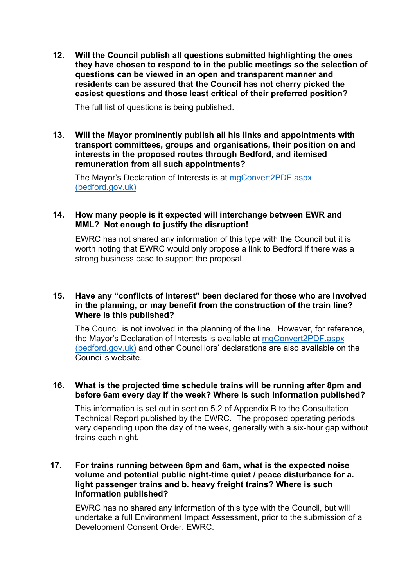**12. Will the Council publish all questions submitted highlighting the ones they have chosen to respond to in the public meetings so the selection of questions can be viewed in an open and transparent manner and residents can be assured that the Council has not cherry picked the easiest questions and those least critical of their preferred position?**

The full list of questions is being published.

### **13. Will the Mayor prominently publish all his links and appointments with transport committees, groups and organisations, their position on and interests in the proposed routes through Bedford, and itemised remuneration from all such appointments?**

The Mayor's Declaration of Interests is at [mgConvert2PDF.aspx](https://councillorsupport.bedford.gov.uk/mgConvert2PDF.aspx?ID=152&T=6)  [\(bedford.gov.uk\)](https://councillorsupport.bedford.gov.uk/mgConvert2PDF.aspx?ID=152&T=6)

# **14. How many people is it expected will interchange between EWR and MML? Not enough to justify the disruption!**

EWRC has not shared any information of this type with the Council but it is worth noting that EWRC would only propose a link to Bedford if there was a strong business case to support the proposal.

### **15. Have any "conflicts of interest" been declared for those who are involved in the planning, or may benefit from the construction of the train line? Where is this published?**

The Council is not involved in the planning of the line. However, for reference, the Mayor's Declaration of Interests is available at [mgConvert2PDF.aspx](https://councillorsupport.bedford.gov.uk/mgConvert2PDF.aspx?ID=152&T=6)  [\(bedford.gov.uk\)](https://councillorsupport.bedford.gov.uk/mgConvert2PDF.aspx?ID=152&T=6) and other Councillors' declarations are also available on the Council's website.

# **16. What is the projected time schedule trains will be running after 8pm and before 6am every day if the week? Where is such information published?**

This information is set out in section 5.2 of Appendix B to the Consultation Technical Report published by the EWRC. The proposed operating periods vary depending upon the day of the week, generally with a six-hour gap without trains each night.

# **17. For trains running between 8pm and 6am, what is the expected noise volume and potential public night-time quiet / peace disturbance for a. light passenger trains and b. heavy freight trains? Where is such information published?**

EWRC has no shared any information of this type with the Council, but will undertake a full Environment Impact Assessment, prior to the submission of a Development Consent Order. EWRC.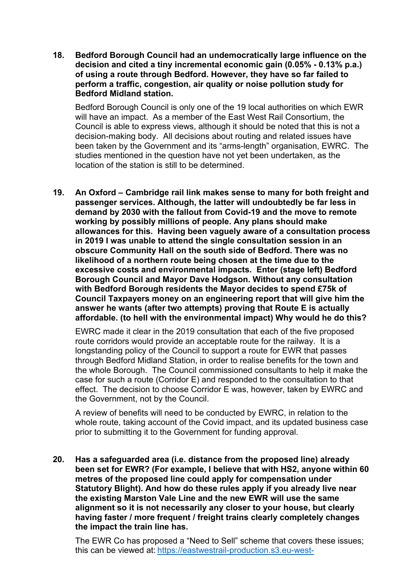**18. Bedford Borough Council had an undemocratically large influence on the decision and cited a tiny incremental economic gain (0.05% - 0.13% p.a.) of using a route through Bedford. However, they have so far failed to perform a traffic, congestion, air quality or noise pollution study for Bedford Midland station.**

Bedford Borough Council is only one of the 19 local authorities on which EWR will have an impact. As a member of the East West Rail Consortium, the Council is able to express views, although it should be noted that this is not a decision-making body. All decisions about routing and related issues have been taken by the Government and its "arms-length" organisation, EWRC. The studies mentioned in the question have not yet been undertaken, as the location of the station is still to be determined.

**19. An Oxford – Cambridge rail link makes sense to many for both freight and passenger services. Although, the latter will undoubtedly be far less in demand by 2030 with the fallout from Covid-19 and the move to remote working by possibly millions of people. Any plans should make allowances for this. Having been vaguely aware of a consultation process in 2019 I was unable to attend the single consultation session in an obscure Community Hall on the south side of Bedford. There was no likelihood of a northern route being chosen at the time due to the excessive costs and environmental impacts. Enter (stage left) Bedford Borough Council and Mayor Dave Hodgson. Without any consultation with Bedford Borough residents the Mayor decides to spend £75k of Council Taxpayers money on an engineering report that will give him the answer he wants (after two attempts) proving that Route E is actually affordable. (to hell with the environmental impact) Why would he do this?**

EWRC made it clear in the 2019 consultation that each of the five proposed route corridors would provide an acceptable route for the railway. It is a longstanding policy of the Council to support a route for EWR that passes through Bedford Midland Station, in order to realise benefits for the town and the whole Borough. The Council commissioned consultants to help it make the case for such a route (Corridor E) and responded to the consultation to that effect. The decision to choose Corridor E was, however, taken by EWRC and the Government, not by the Council.

A review of benefits will need to be conducted by EWRC, in relation to the whole route, taking account of the Covid impact, and its updated business case prior to submitting it to the Government for funding approval.

**20. Has a safeguarded area (i.e. distance from the proposed line) already been set for EWR? (For example, I believe that with HS2, anyone within 60 metres of the proposed line could apply for compensation under Statutory Blight). And how do these rules apply if you already live near the existing Marston Vale Line and the new EWR will use the same alignment so it is not necessarily any closer to your house, but clearly having faster / more frequent / freight trains clearly completely changes the impact the train line has.**

The EWR Co has proposed a "Need to Sell" scheme that covers these issues; this can be viewed at: [https://eastwestrail-production.s3.eu-west-](https://eastwestrail-production.s3.eu-west-2.amazonaws.com/public/ListsBlockMedia/133c0f934f/Guide-to-the-proposed-Need-to-Sell-Scheme.pdf)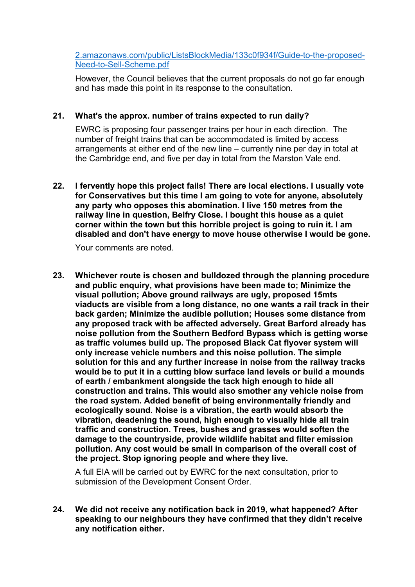[2.amazonaws.com/public/ListsBlockMedia/133c0f934f/Guide-to-the-proposed-](https://eastwestrail-production.s3.eu-west-2.amazonaws.com/public/ListsBlockMedia/133c0f934f/Guide-to-the-proposed-Need-to-Sell-Scheme.pdf)[Need-to-Sell-Scheme.pdf](https://eastwestrail-production.s3.eu-west-2.amazonaws.com/public/ListsBlockMedia/133c0f934f/Guide-to-the-proposed-Need-to-Sell-Scheme.pdf)

However, the Council believes that the current proposals do not go far enough and has made this point in its response to the consultation.

# **21. What's the approx. number of trains expected to run daily?**

EWRC is proposing four passenger trains per hour in each direction. The number of freight trains that can be accommodated is limited by access arrangements at either end of the new line – currently nine per day in total at the Cambridge end, and five per day in total from the Marston Vale end.

**22. I fervently hope this project fails! There are local elections. I usually vote for Conservatives but this time I am going to vote for anyone, absolutely any party who opposes this abomination. I live 150 metres from the railway line in question, Belfry Close. I bought this house as a quiet corner within the town but this horrible project is going to ruin it. I am disabled and don't have energy to move house otherwise I would be gone.**

Your comments are noted.

**23. Whichever route is chosen and bulldozed through the planning procedure and public enquiry, what provisions have been made to; Minimize the visual pollution; Above ground railways are ugly, proposed 15mts viaducts are visible from a long distance, no one wants a rail track in their back garden; Minimize the audible pollution; Houses some distance from any proposed track with be affected adversely. Great Barford already has noise pollution from the Southern Bedford Bypass which is getting worse as traffic volumes build up. The proposed Black Cat flyover system will only increase vehicle numbers and this noise pollution. The simple solution for this and any further increase in noise from the railway tracks would be to put it in a cutting blow surface land levels or build a mounds of earth / embankment alongside the tack high enough to hide all construction and trains. This would also smother any vehicle noise from the road system. Added benefit of being environmentally friendly and ecologically sound. Noise is a vibration, the earth would absorb the vibration, deadening the sound, high enough to visually hide all train traffic and construction. Trees, bushes and grasses would soften the damage to the countryside, provide wildlife habitat and filter emission pollution. Any cost would be small in comparison of the overall cost of the project. Stop ignoring people and where they live.**

A full EIA will be carried out by EWRC for the next consultation, prior to submission of the Development Consent Order.

**24. We did not receive any notification back in 2019, what happened? After speaking to our neighbours they have confirmed that they didn't receive any notification either.**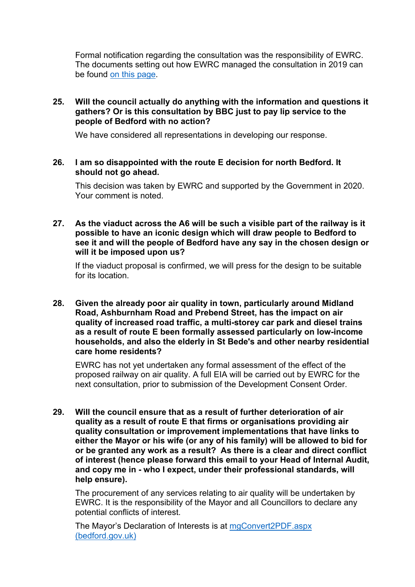Formal notification regarding the consultation was the responsibility of EWRC. The documents setting out how EWRC managed the consultation in 2019 can be found [on this page.](https://eastwestrail.co.uk/library/documents?start=24)

# **25. Will the council actually do anything with the information and questions it gathers? Or is this consultation by BBC just to pay lip service to the people of Bedford with no action?**

We have considered all representations in developing our response.

### **26. I am so disappointed with the route E decision for north Bedford. It should not go ahead.**

This decision was taken by EWRC and supported by the Government in 2020. Your comment is noted.

**27. As the viaduct across the A6 will be such a visible part of the railway is it possible to have an iconic design which will draw people to Bedford to see it and will the people of Bedford have any say in the chosen design or will it be imposed upon us?**

If the viaduct proposal is confirmed, we will press for the design to be suitable for its location.

**28. Given the already poor air quality in town, particularly around Midland Road, Ashburnham Road and Prebend Street, has the impact on air quality of increased road traffic, a multi-storey car park and diesel trains as a result of route E been formally assessed particularly on low-income households, and also the elderly in St Bede's and other nearby residential care home residents?**

EWRC has not yet undertaken any formal assessment of the effect of the proposed railway on air quality. A full EIA will be carried out by EWRC for the next consultation, prior to submission of the Development Consent Order.

**29. Will the council ensure that as a result of further deterioration of air quality as a result of route E that firms or organisations providing air quality consultation or improvement implementations that have links to either the Mayor or his wife (or any of his family) will be allowed to bid for or be granted any work as a result? As there is a clear and direct conflict of interest (hence please forward this email to your Head of Internal Audit, and copy me in - who I expect, under their professional standards, will help ensure).**

The procurement of any services relating to air quality will be undertaken by EWRC. It is the responsibility of the Mayor and all Councillors to declare any potential conflicts of interest.

The Mayor's Declaration of Interests is at [mgConvert2PDF.aspx](https://councillorsupport.bedford.gov.uk/mgConvert2PDF.aspx?ID=152&T=6)  [\(bedford.gov.uk\)](https://councillorsupport.bedford.gov.uk/mgConvert2PDF.aspx?ID=152&T=6)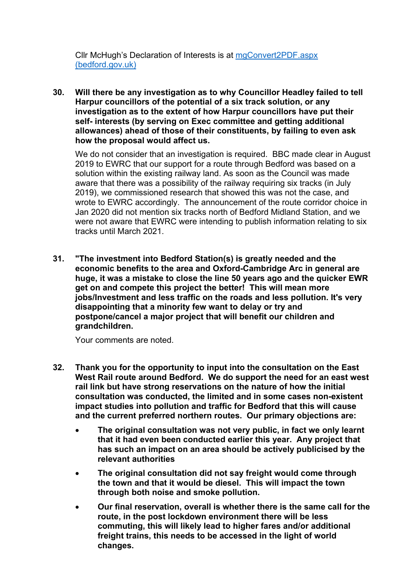Cllr McHugh's Declaration of Interests is at [mgConvert2PDF.aspx](https://councillorsupport.bedford.gov.uk/mgConvert2PDF.aspx?ID=137&T=6)  [\(bedford.gov.uk\)](https://councillorsupport.bedford.gov.uk/mgConvert2PDF.aspx?ID=137&T=6)

**30. Will there be any investigation as to why Councillor Headley failed to tell Harpur councillors of the potential of a six track solution, or any investigation as to the extent of how Harpur councillors have put their self- interests (by serving on Exec committee and getting additional allowances) ahead of those of their constituents, by failing to even ask how the proposal would affect us.**

We do not consider that an investigation is required. BBC made clear in August 2019 to EWRC that our support for a route through Bedford was based on a solution within the existing railway land. As soon as the Council was made aware that there was a possibility of the railway requiring six tracks (in July 2019), we commissioned research that showed this was not the case, and wrote to EWRC accordingly. The announcement of the route corridor choice in Jan 2020 did not mention six tracks north of Bedford Midland Station, and we were not aware that EWRC were intending to publish information relating to six tracks until March 2021.

**31. "The investment into Bedford Station(s) is greatly needed and the economic benefits to the area and Oxford-Cambridge Arc in general are huge, it was a mistake to close the line 50 years ago and the quicker EWR get on and compete this project the better! This will mean more jobs/Investment and less traffic on the roads and less pollution. It's very disappointing that a minority few want to delay or try and postpone/cancel a major project that will benefit our children and grandchildren.**

Your comments are noted.

- **32. Thank you for the opportunity to input into the consultation on the East West Rail route around Bedford. We do support the need for an east west rail link but have strong reservations on the nature of how the initial consultation was conducted, the limited and in some cases non-existent impact studies into pollution and traffic for Bedford that this will cause and the current preferred northern routes. Our primary objections are:**
	- **The original consultation was not very public, in fact we only learnt that it had even been conducted earlier this year. Any project that has such an impact on an area should be actively publicised by the relevant authorities**
	- **The original consultation did not say freight would come through the town and that it would be diesel. This will impact the town through both noise and smoke pollution.**
	- **Our final reservation, overall is whether there is the same call for the route, in the post lockdown environment there will be less commuting, this will likely lead to higher fares and/or additional freight trains, this needs to be accessed in the light of world changes.**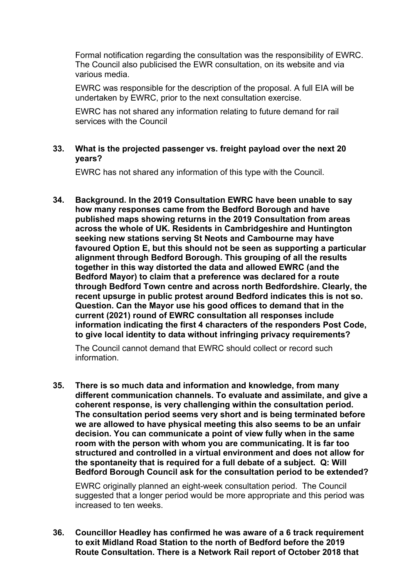Formal notification regarding the consultation was the responsibility of EWRC. The Council also publicised the EWR consultation, on its website and via various media.

EWRC was responsible for the description of the proposal. A full EIA will be undertaken by EWRC, prior to the next consultation exercise.

EWRC has not shared any information relating to future demand for rail services with the Council

# **33. What is the projected passenger vs. freight payload over the next 20 years?**

EWRC has not shared any information of this type with the Council.

**34. Background. In the 2019 Consultation EWRC have been unable to say how many responses came from the Bedford Borough and have published maps showing returns in the 2019 Consultation from areas across the whole of UK. Residents in Cambridgeshire and Huntington seeking new stations serving St Neots and Cambourne may have favoured Option E, but this should not be seen as supporting a particular alignment through Bedford Borough. This grouping of all the results together in this way distorted the data and allowed EWRC (and the Bedford Mayor) to claim that a preference was declared for a route through Bedford Town centre and across north Bedfordshire. Clearly, the recent upsurge in public protest around Bedford indicates this is not so. Question. Can the Mayor use his good offices to demand that in the current (2021) round of EWRC consultation all responses include information indicating the first 4 characters of the responders Post Code, to give local identity to data without infringing privacy requirements?**

The Council cannot demand that EWRC should collect or record such information.

**35. There is so much data and information and knowledge, from many different communication channels. To evaluate and assimilate, and give a coherent response, is very challenging within the consultation period. The consultation period seems very short and is being terminated before we are allowed to have physical meeting this also seems to be an unfair decision. You can communicate a point of view fully when in the same room with the person with whom you are communicating. It is far too structured and controlled in a virtual environment and does not allow for the spontaneity that is required for a full debate of a subject. Q: Will Bedford Borough Council ask for the consultation period to be extended?**

EWRC originally planned an eight-week consultation period. The Council suggested that a longer period would be more appropriate and this period was increased to ten weeks.

**36. Councillor Headley has confirmed he was aware of a 6 track requirement to exit Midland Road Station to the north of Bedford before the 2019 Route Consultation. There is a Network Rail report of October 2018 that**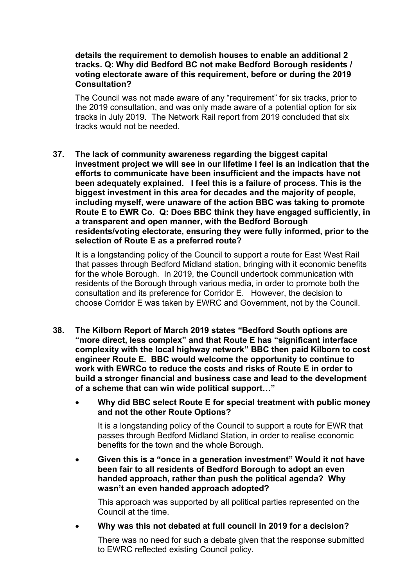### **details the requirement to demolish houses to enable an additional 2 tracks. Q: Why did Bedford BC not make Bedford Borough residents / voting electorate aware of this requirement, before or during the 2019 Consultation?**

The Council was not made aware of any "requirement" for six tracks, prior to the 2019 consultation, and was only made aware of a potential option for six tracks in July 2019. The Network Rail report from 2019 concluded that six tracks would not be needed.

**37. The lack of community awareness regarding the biggest capital investment project we will see in our lifetime I feel is an indication that the efforts to communicate have been insufficient and the impacts have not been adequately explained. I feel this is a failure of process. This is the biggest investment in this area for decades and the majority of people, including myself, were unaware of the action BBC was taking to promote Route E to EWR Co. Q: Does BBC think they have engaged sufficiently, in a transparent and open manner, with the Bedford Borough residents/voting electorate, ensuring they were fully informed, prior to the selection of Route E as a preferred route?**

It is a longstanding policy of the Council to support a route for East West Rail that passes through Bedford Midland station, bringing with it economic benefits for the whole Borough. In 2019, the Council undertook communication with residents of the Borough through various media, in order to promote both the consultation and its preference for Corridor E. However, the decision to choose Corridor E was taken by EWRC and Government, not by the Council.

- **38. The Kilborn Report of March 2019 states "Bedford South options are "more direct, less complex" and that Route E has "significant interface complexity with the local highway network" BBC then paid Kilborn to cost engineer Route E. BBC would welcome the opportunity to continue to work with EWRCo to reduce the costs and risks of Route E in order to build a stronger financial and business case and lead to the development of a scheme that can win wide political support…"**
	- **Why did BBC select Route E for special treatment with public money and not the other Route Options?**

It is a longstanding policy of the Council to support a route for EWR that passes through Bedford Midland Station, in order to realise economic benefits for the town and the whole Borough.

• **Given this is a "once in a generation investment" Would it not have been fair to all residents of Bedford Borough to adopt an even handed approach, rather than push the political agenda? Why wasn't an even handed approach adopted?**

This approach was supported by all political parties represented on the Council at the time.

• **Why was this not debated at full council in 2019 for a decision?**

There was no need for such a debate given that the response submitted to EWRC reflected existing Council policy.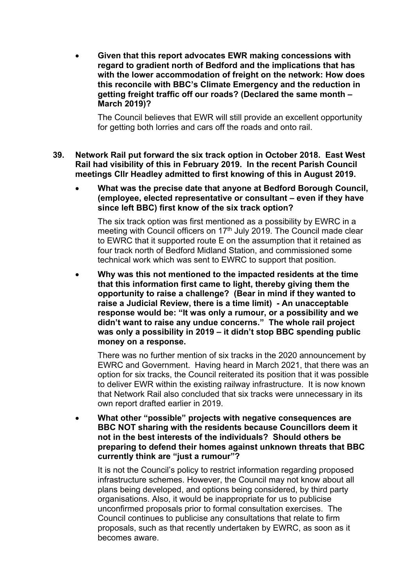• **Given that this report advocates EWR making concessions with regard to gradient north of Bedford and the implications that has with the lower accommodation of freight on the network: How does this reconcile with BBC's Climate Emergency and the reduction in getting freight traffic off our roads? (Declared the same month – March 2019)?**

The Council believes that EWR will still provide an excellent opportunity for getting both lorries and cars off the roads and onto rail.

- **39. Network Rail put forward the six track option in October 2018. East West Rail had visibility of this in February 2019. In the recent Parish Council meetings Cllr Headley admitted to first knowing of this in August 2019.**
	- **What was the precise date that anyone at Bedford Borough Council, (employee, elected representative or consultant – even if they have since left BBC) first know of the six track option?**

The six track option was first mentioned as a possibility by EWRC in a meeting with Council officers on 17<sup>th</sup> July 2019. The Council made clear to EWRC that it supported route E on the assumption that it retained as four track north of Bedford Midland Station, and commissioned some technical work which was sent to EWRC to support that position.

• **Why was this not mentioned to the impacted residents at the time that this information first came to light, thereby giving them the opportunity to raise a challenge? (Bear in mind if they wanted to raise a Judicial Review, there is a time limit) - An unacceptable response would be: "It was only a rumour, or a possibility and we didn't want to raise any undue concerns." The whole rail project was only a possibility in 2019 – it didn't stop BBC spending public money on a response.**

There was no further mention of six tracks in the 2020 announcement by EWRC and Government. Having heard in March 2021, that there was an option for six tracks, the Council reiterated its position that it was possible to deliver EWR within the existing railway infrastructure. It is now known that Network Rail also concluded that six tracks were unnecessary in its own report drafted earlier in 2019.

• **What other "possible" projects with negative consequences are BBC NOT sharing with the residents because Councillors deem it not in the best interests of the individuals? Should others be preparing to defend their homes against unknown threats that BBC currently think are "just a rumour"?**

It is not the Council's policy to restrict information regarding proposed infrastructure schemes. However, the Council may not know about all plans being developed, and options being considered, by third party organisations. Also, it would be inappropriate for us to publicise unconfirmed proposals prior to formal consultation exercises. The Council continues to publicise any consultations that relate to firm proposals, such as that recently undertaken by EWRC, as soon as it becomes aware.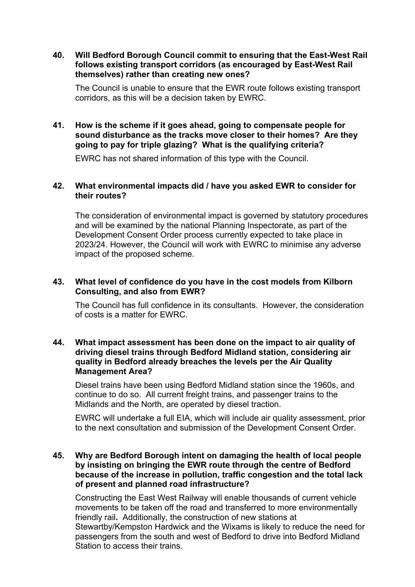### **40. Will Bedford Borough Council commit to ensuring that the East-West Rail follows existing transport corridors (as encouraged by East-West Rail themselves) rather than creating new ones?**

The Council is unable to ensure that the EWR route follows existing transport corridors, as this will be a decision taken by EWRC.

# **41. How is the scheme if it goes ahead, going to compensate people for sound disturbance as the tracks move closer to their homes? Are they going to pay for triple glazing? What is the qualifying criteria?**

EWRC has not shared information of this type with the Council.

# **42. What environmental impacts did / have you asked EWR to consider for their routes?**

The consideration of environmental impact is governed by statutory procedures and will be examined by the national Planning Inspectorate, as part of the Development Consent Order process currently expected to take place in 2023/24. However, the Council will work with EWRC to minimise any adverse impact of the proposed scheme.

# **43. What level of confidence do you have in the cost models from Kilborn Consulting, and also from EWR?**

The Council has full confidence in its consultants. However, the consideration of costs is a matter for EWRC.

### **44. What impact assessment has been done on the impact to air quality of driving diesel trains through Bedford Midland station, considering air quality in Bedford already breaches the levels per the Air Quality Management Area?**

Diesel trains have been using Bedford Midland station since the 1960s, and continue to do so. All current freight trains, and passenger trains to the Midlands and the North, are operated by diesel traction.

EWRC will undertake a full EIA, which will include air quality assessment, prior to the next consultation and submission of the Development Consent Order.

# **45. Why are Bedford Borough intent on damaging the health of local people by insisting on bringing the EWR route through the centre of Bedford because of the increase in pollution, traffic congestion and the total lack of present and planned road infrastructure?**

Constructing the East West Railway will enable thousands of current vehicle movements to be taken off the road and transferred to more environmentally friendly rail**.** Additionally, the construction of new stations at Stewartby/Kempston Hardwick and the Wixams is likely to reduce the need for passengers from the south and west of Bedford to drive into Bedford Midland Station to access their trains.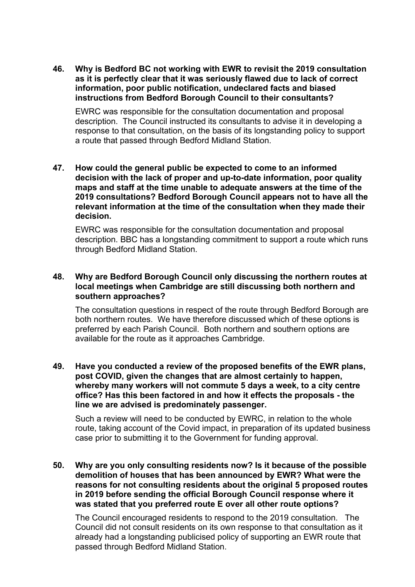**46. Why is Bedford BC not working with EWR to revisit the 2019 consultation as it is perfectly clear that it was seriously flawed due to lack of correct information, poor public notification, undeclared facts and biased instructions from Bedford Borough Council to their consultants?**

EWRC was responsible for the consultation documentation and proposal description. The Council instructed its consultants to advise it in developing a response to that consultation, on the basis of its longstanding policy to support a route that passed through Bedford Midland Station.

**47. How could the general public be expected to come to an informed decision with the lack of proper and up-to-date information, poor quality maps and staff at the time unable to adequate answers at the time of the 2019 consultations? Bedford Borough Council appears not to have all the relevant information at the time of the consultation when they made their decision.** 

EWRC was responsible for the consultation documentation and proposal description. BBC has a longstanding commitment to support a route which runs through Bedford Midland Station.

# **48. Why are Bedford Borough Council only discussing the northern routes at local meetings when Cambridge are still discussing both northern and southern approaches?**

The consultation questions in respect of the route through Bedford Borough are both northern routes. We have therefore discussed which of these options is preferred by each Parish Council. Both northern and southern options are available for the route as it approaches Cambridge.

### **49. Have you conducted a review of the proposed benefits of the EWR plans, post COVID, given the changes that are almost certainly to happen, whereby many workers will not commute 5 days a week, to a city centre office? Has this been factored in and how it effects the proposals - the line we are advised is predominately passenger.**

Such a review will need to be conducted by EWRC, in relation to the whole route, taking account of the Covid impact, in preparation of its updated business case prior to submitting it to the Government for funding approval.

# **50. Why are you only consulting residents now? Is it because of the possible demolition of houses that has been announced by EWR? What were the reasons for not consulting residents about the original 5 proposed routes in 2019 before sending the official Borough Council response where it was stated that you preferred route E over all other route options?**

The Council encouraged residents to respond to the 2019 consultation. The Council did not consult residents on its own response to that consultation as it already had a longstanding publicised policy of supporting an EWR route that passed through Bedford Midland Station.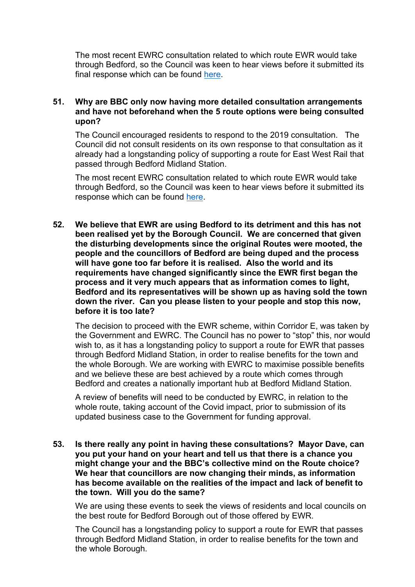The most recent EWRC consultation related to which route EWR would take through Bedford, so the Council was keen to hear views before it submitted its final response which can be found [here.](https://bbcdevwebfiles.blob.core.windows.net/webfiles/Your%20Council/Consultations/EWR%20Consultation%20Response%20post%20FC.pdf)

#### **51. Why are BBC only now having more detailed consultation arrangements and have not beforehand when the 5 route options were being consulted upon?**

The Council encouraged residents to respond to the 2019 consultation. The Council did not consult residents on its own response to that consultation as it already had a longstanding policy of supporting a route for East West Rail that passed through Bedford Midland Station.

The most recent EWRC consultation related to which route EWR would take through Bedford, so the Council was keen to hear views before it submitted its response which can be found [here.](https://bbcdevwebfiles.blob.core.windows.net/webfiles/Your%20Council/Consultations/EWR%20Consultation%20Response%20post%20FC.pdf)

**52. We believe that EWR are using Bedford to its detriment and this has not been realised yet by the Borough Council. We are concerned that given the disturbing developments since the original Routes were mooted, the people and the councillors of Bedford are being duped and the process will have gone too far before it is realised. Also the world and its requirements have changed significantly since the EWR first began the process and it very much appears that as information comes to light, Bedford and its representatives will be shown up as having sold the town down the river. Can you please listen to your people and stop this now, before it is too late?**

The decision to proceed with the EWR scheme, within Corridor E, was taken by the Government and EWRC. The Council has no power to "stop" this, nor would wish to, as it has a longstanding policy to support a route for EWR that passes through Bedford Midland Station, in order to realise benefits for the town and the whole Borough. We are working with EWRC to maximise possible benefits and we believe these are best achieved by a route which comes through Bedford and creates a nationally important hub at Bedford Midland Station.

A review of benefits will need to be conducted by EWRC, in relation to the whole route, taking account of the Covid impact, prior to submission of its updated business case to the Government for funding approval.

**53. Is there really any point in having these consultations? Mayor Dave, can you put your hand on your heart and tell us that there is a chance you might change your and the BBC's collective mind on the Route choice? We hear that councillors are now changing their minds, as information has become available on the realities of the impact and lack of benefit to the town. Will you do the same?**

We are using these events to seek the views of residents and local councils on the best route for Bedford Borough out of those offered by EWR.

The Council has a longstanding policy to support a route for EWR that passes through Bedford Midland Station, in order to realise benefits for the town and the whole Borough.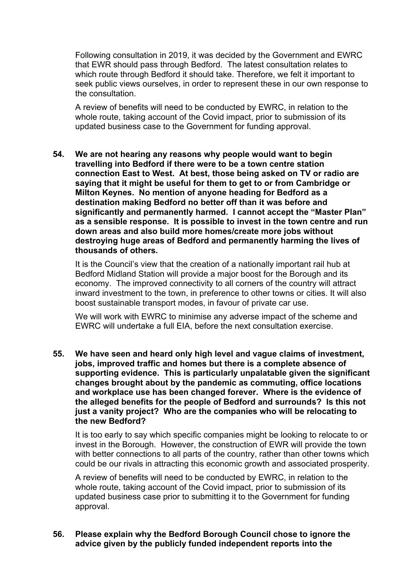Following consultation in 2019, it was decided by the Government and EWRC that EWR should pass through Bedford. The latest consultation relates to which route through Bedford it should take. Therefore, we felt it important to seek public views ourselves, in order to represent these in our own response to the consultation.

A review of benefits will need to be conducted by EWRC, in relation to the whole route, taking account of the Covid impact, prior to submission of its updated business case to the Government for funding approval.

**54. We are not hearing any reasons why people would want to begin travelling into Bedford if there were to be a town centre station connection East to West. At best, those being asked on TV or radio are saying that it might be useful for them to get to or from Cambridge or Milton Keynes. No mention of anyone heading for Bedford as a destination making Bedford no better off than it was before and significantly and permanently harmed. I cannot accept the "Master Plan" as a sensible response. It is possible to invest in the town centre and run down areas and also build more homes/create more jobs without destroying huge areas of Bedford and permanently harming the lives of thousands of others.**

It is the Council's view that the creation of a nationally important rail hub at Bedford Midland Station will provide a major boost for the Borough and its economy. The improved connectivity to all corners of the country will attract inward investment to the town, in preference to other towns or cities. It will also boost sustainable transport modes, in favour of private car use.

We will work with EWRC to minimise any adverse impact of the scheme and EWRC will undertake a full EIA, before the next consultation exercise.

**55. We have seen and heard only high level and vague claims of investment, jobs, improved traffic and homes but there is a complete absence of supporting evidence. This is particularly unpalatable given the significant changes brought about by the pandemic as commuting, office locations and workplace use has been changed forever. Where is the evidence of the alleged benefits for the people of Bedford and surrounds? Is this not just a vanity project? Who are the companies who will be relocating to the new Bedford?**

It is too early to say which specific companies might be looking to relocate to or invest in the Borough. However, the construction of EWR will provide the town with better connections to all parts of the country, rather than other towns which could be our rivals in attracting this economic growth and associated prosperity.

A review of benefits will need to be conducted by EWRC, in relation to the whole route, taking account of the Covid impact, prior to submission of its updated business case prior to submitting it to the Government for funding approval.

### **56. Please explain why the Bedford Borough Council chose to ignore the advice given by the publicly funded independent reports into the**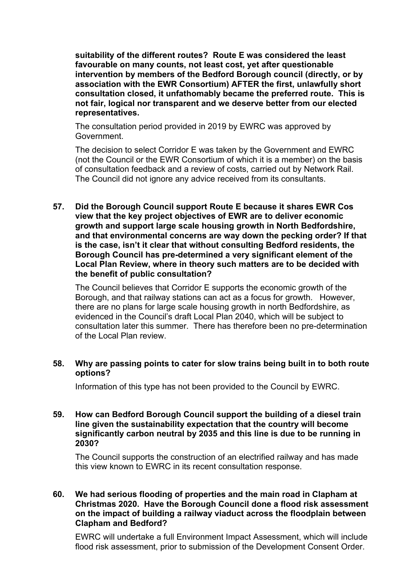**suitability of the different routes? Route E was considered the least favourable on many counts, not least cost, yet after questionable intervention by members of the Bedford Borough council (directly, or by association with the EWR Consortium) AFTER the first, unlawfully short consultation closed, it unfathomably became the preferred route. This is not fair, logical nor transparent and we deserve better from our elected representatives.**

The consultation period provided in 2019 by EWRC was approved by Government.

The decision to select Corridor E was taken by the Government and EWRC (not the Council or the EWR Consortium of which it is a member) on the basis of consultation feedback and a review of costs, carried out by Network Rail. The Council did not ignore any advice received from its consultants.

**57. Did the Borough Council support Route E because it shares EWR Cos view that the key project objectives of EWR are to deliver economic growth and support large scale housing growth in North Bedfordshire, and that environmental concerns are way down the pecking order? If that is the case, isn't it clear that without consulting Bedford residents, the Borough Council has pre-determined a very significant element of the Local Plan Review, where in theory such matters are to be decided with the benefit of public consultation?**

The Council believes that Corridor E supports the economic growth of the Borough, and that railway stations can act as a focus for growth. However, there are no plans for large scale housing growth in north Bedfordshire, as evidenced in the Council's draft Local Plan 2040, which will be subject to consultation later this summer. There has therefore been no pre-determination of the Local Plan review.

### **58. Why are passing points to cater for slow trains being built in to both route options?**

Information of this type has not been provided to the Council by EWRC.

### **59. How can Bedford Borough Council support the building of a diesel train line given the sustainability expectation that the country will become significantly carbon neutral by 2035 and this line is due to be running in 2030?**

The Council supports the construction of an electrified railway and has made this view known to EWRC in its recent consultation response.

### **60. We had serious flooding of properties and the main road in Clapham at Christmas 2020. Have the Borough Council done a flood risk assessment on the impact of building a railway viaduct across the floodplain between Clapham and Bedford?**

EWRC will undertake a full Environment Impact Assessment, which will include flood risk assessment, prior to submission of the Development Consent Order.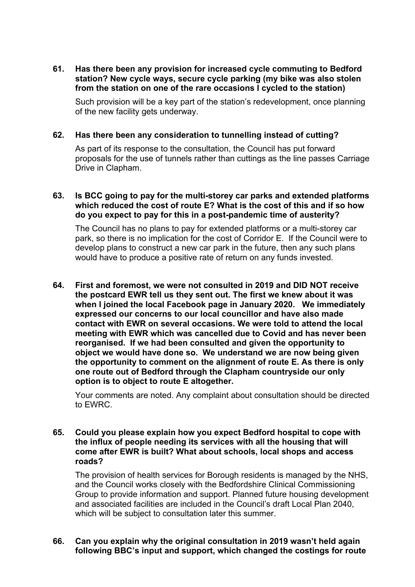**61. Has there been any provision for increased cycle commuting to Bedford station? New cycle ways, secure cycle parking (my bike was also stolen from the station on one of the rare occasions I cycled to the station)**

Such provision will be a key part of the station's redevelopment, once planning of the new facility gets underway.

### **62. Has there been any consideration to tunnelling instead of cutting?**

As part of its response to the consultation, the Council has put forward proposals for the use of tunnels rather than cuttings as the line passes Carriage Drive in Clapham.

# **63. Is BCC going to pay for the multi-storey car parks and extended platforms which reduced the cost of route E? What is the cost of this and if so how do you expect to pay for this in a post-pandemic time of austerity?**

The Council has no plans to pay for extended platforms or a multi-storey car park, so there is no implication for the cost of Corridor E. If the Council were to develop plans to construct a new car park in the future, then any such plans would have to produce a positive rate of return on any funds invested.

**64. First and foremost, we were not consulted in 2019 and DID NOT receive the postcard EWR tell us they sent out. The first we knew about it was when I joined the local Facebook page in January 2020. We immediately expressed our concerns to our local councillor and have also made contact with EWR on several occasions. We were told to attend the local meeting with EWR which was cancelled due to Covid and has never been reorganised. If we had been consulted and given the opportunity to object we would have done so. We understand we are now being given the opportunity to comment on the alignment of route E. As there is only one route out of Bedford through the Clapham countryside our only option is to object to route E altogether.**

Your comments are noted. Any complaint about consultation should be directed to EWRC.

### **65. Could you please explain how you expect Bedford hospital to cope with the influx of people needing its services with all the housing that will come after EWR is built? What about schools, local shops and access roads?**

The provision of health services for Borough residents is managed by the NHS, and the Council works closely with the Bedfordshire Clinical Commissioning Group to provide information and support. Planned future housing development and associated facilities are included in the Council's draft Local Plan 2040, which will be subject to consultation later this summer.

### **66. Can you explain why the original consultation in 2019 wasn't held again following BBC's input and support, which changed the costings for route**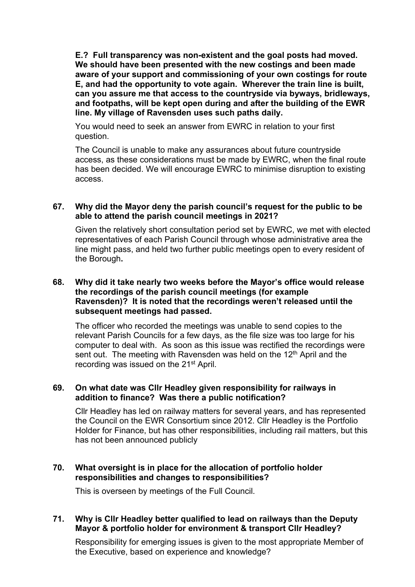**E.? Full transparency was non-existent and the goal posts had moved. We should have been presented with the new costings and been made aware of your support and commissioning of your own costings for route E, and had the opportunity to vote again. Wherever the train line is built, can you assure me that access to the countryside via byways, bridleways, and footpaths, will be kept open during and after the building of the EWR line. My village of Ravensden uses such paths daily.**

You would need to seek an answer from EWRC in relation to your first question.

The Council is unable to make any assurances about future countryside access, as these considerations must be made by EWRC, when the final route has been decided. We will encourage EWRC to minimise disruption to existing access.

### **67. Why did the Mayor deny the parish council's request for the public to be able to attend the parish council meetings in 2021?**

Given the relatively short consultation period set by EWRC, we met with elected representatives of each Parish Council through whose administrative area the line might pass, and held two further public meetings open to every resident of the Borough**.** 

### **68. Why did it take nearly two weeks before the Mayor's office would release the recordings of the parish council meetings (for example Ravensden)? It is noted that the recordings weren't released until the subsequent meetings had passed.**

The officer who recorded the meetings was unable to send copies to the relevant Parish Councils for a few days, as the file size was too large for his computer to deal with. As soon as this issue was rectified the recordings were sent out. The meeting with Ravensden was held on the 12<sup>th</sup> April and the recording was issued on the 21st April.

# **69. On what date was Cllr Headley given responsibility for railways in addition to finance? Was there a public notification?**

Cllr Headley has led on railway matters for several years, and has represented the Council on the EWR Consortium since 2012. Cllr Headley is the Portfolio Holder for Finance, but has other responsibilities, including rail matters, but this has not been announced publicly

# **70. What oversight is in place for the allocation of portfolio holder responsibilities and changes to responsibilities?**

This is overseen by meetings of the Full Council.

# **71. Why is Cllr Headley better qualified to lead on railways than the Deputy Mayor & portfolio holder for environment & transport Cllr Headley?**

Responsibility for emerging issues is given to the most appropriate Member of the Executive, based on experience and knowledge?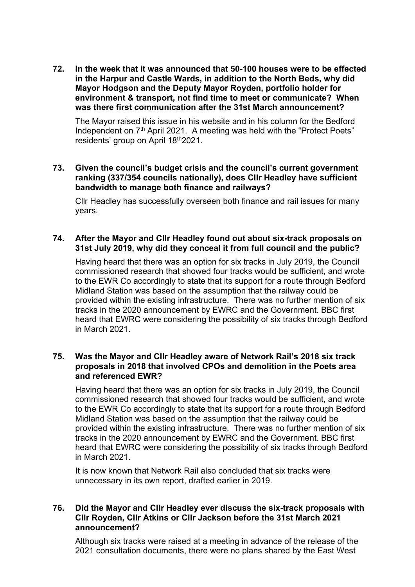**72. In the week that it was announced that 50-100 houses were to be effected in the Harpur and Castle Wards, in addition to the North Beds, why did Mayor Hodgson and the Deputy Mayor Royden, portfolio holder for environment & transport, not find time to meet or communicate? When was there first communication after the 31st March announcement?**

The Mayor raised this issue in his website and in his column for the Bedford Independent on 7<sup>th</sup> April 2021. A meeting was held with the "Protect Poets" residents' group on April 18th 2021.

# **73. Given the council's budget crisis and the council's current government ranking (337/354 councils nationally), does Cllr Headley have sufficient bandwidth to manage both finance and railways?**

Cllr Headley has successfully overseen both finance and rail issues for many years.

# **74. After the Mayor and Cllr Headley found out about six-track proposals on 31st July 2019, why did they conceal it from full council and the public?**

Having heard that there was an option for six tracks in July 2019, the Council commissioned research that showed four tracks would be sufficient, and wrote to the EWR Co accordingly to state that its support for a route through Bedford Midland Station was based on the assumption that the railway could be provided within the existing infrastructure. There was no further mention of six tracks in the 2020 announcement by EWRC and the Government. BBC first heard that EWRC were considering the possibility of six tracks through Bedford in March 2021.

# **75. Was the Mayor and Cllr Headley aware of Network Rail's 2018 six track proposals in 2018 that involved CPOs and demolition in the Poets area and referenced EWR?**

Having heard that there was an option for six tracks in July 2019, the Council commissioned research that showed four tracks would be sufficient, and wrote to the EWR Co accordingly to state that its support for a route through Bedford Midland Station was based on the assumption that the railway could be provided within the existing infrastructure. There was no further mention of six tracks in the 2020 announcement by EWRC and the Government. BBC first heard that EWRC were considering the possibility of six tracks through Bedford in March 2021.

It is now known that Network Rail also concluded that six tracks were unnecessary in its own report, drafted earlier in 2019.

# **76. Did the Mayor and Cllr Headley ever discuss the six-track proposals with Cllr Royden, Cllr Atkins or Cllr Jackson before the 31st March 2021 announcement?**

Although six tracks were raised at a meeting in advance of the release of the 2021 consultation documents, there were no plans shared by the East West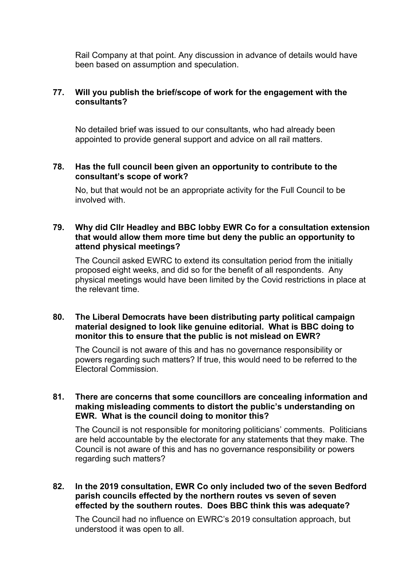Rail Company at that point. Any discussion in advance of details would have been based on assumption and speculation.

# **77. Will you publish the brief/scope of work for the engagement with the consultants?**

No detailed brief was issued to our consultants, who had already been appointed to provide general support and advice on all rail matters.

### **78. Has the full council been given an opportunity to contribute to the consultant's scope of work?**

No, but that would not be an appropriate activity for the Full Council to be involved with.

# **79. Why did Cllr Headley and BBC lobby EWR Co for a consultation extension that would allow them more time but deny the public an opportunity to attend physical meetings?**

The Council asked EWRC to extend its consultation period from the initially proposed eight weeks, and did so for the benefit of all respondents.Any physical meetings would have been limited by the Covid restrictions in place at the relevant time.

# **80. The Liberal Democrats have been distributing party political campaign material designed to look like genuine editorial. What is BBC doing to monitor this to ensure that the public is not mislead on EWR?**

The Council is not aware of this and has no governance responsibility or powers regarding such matters? If true, this would need to be referred to the Electoral Commission.

### **81. There are concerns that some councillors are concealing information and making misleading comments to distort the public's understanding on EWR. What is the council doing to monitor this?**

The Council is not responsible for monitoring politicians' comments. Politicians are held accountable by the electorate for any statements that they make. The Council is not aware of this and has no governance responsibility or powers regarding such matters?

# **82. In the 2019 consultation, EWR Co only included two of the seven Bedford parish councils effected by the northern routes vs seven of seven effected by the southern routes. Does BBC think this was adequate?**

The Council had no influence on EWRC's 2019 consultation approach, but understood it was open to all.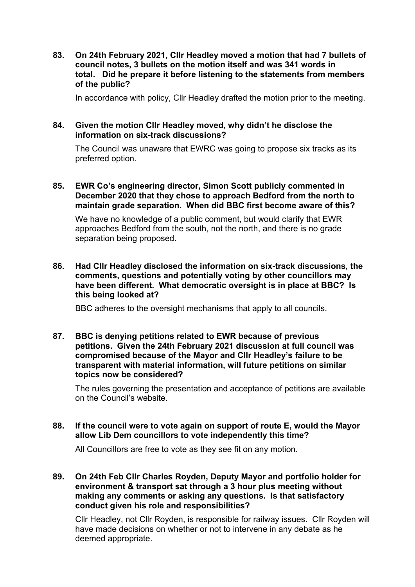**83. On 24th February 2021, Cllr Headley moved a motion that had 7 bullets of council notes, 3 bullets on the motion itself and was 341 words in total. Did he prepare it before listening to the statements from members of the public?**

In accordance with policy, Cllr Headley drafted the motion prior to the meeting.

# **84. Given the motion Cllr Headley moved, why didn't he disclose the information on six-track discussions?**

The Council was unaware that EWRC was going to propose six tracks as its preferred option.

#### **85. EWR Co's engineering director, Simon Scott publicly commented in December 2020 that they chose to approach Bedford from the north to maintain grade separation. When did BBC first become aware of this?**

We have no knowledge of a public comment, but would clarify that EWR approaches Bedford from the south, not the north, and there is no grade separation being proposed.

**86. Had Cllr Headley disclosed the information on six-track discussions, the comments, questions and potentially voting by other councillors may have been different. What democratic oversight is in place at BBC? Is this being looked at?**

BBC adheres to the oversight mechanisms that apply to all councils.

**87. BBC is denying petitions related to EWR because of previous petitions. Given the 24th February 2021 discussion at full council was compromised because of the Mayor and Cllr Headley's failure to be transparent with material information, will future petitions on similar topics now be considered?**

The rules governing the presentation and acceptance of petitions are available on the Council's website.

**88. If the council were to vote again on support of route E, would the Mayor allow Lib Dem councillors to vote independently this time?**

All Councillors are free to vote as they see fit on any motion.

**89. On 24th Feb Cllr Charles Royden, Deputy Mayor and portfolio holder for environment & transport sat through a 3 hour plus meeting without making any comments or asking any questions. Is that satisfactory conduct given his role and responsibilities?**

Cllr Headley, not Cllr Royden, is responsible for railway issues. Cllr Royden will have made decisions on whether or not to intervene in any debate as he deemed appropriate.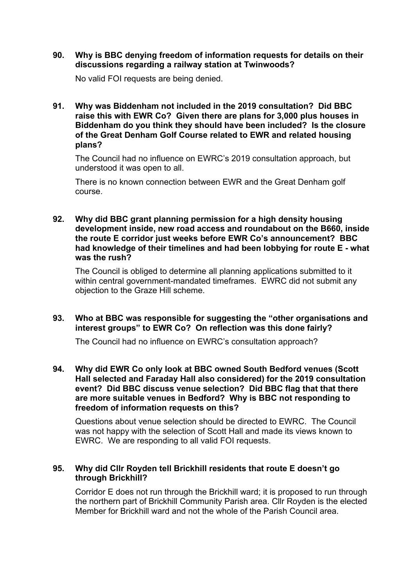#### **90. Why is BBC denying freedom of information requests for details on their discussions regarding a railway station at Twinwoods?**

No valid FOI requests are being denied.

**91. Why was Biddenham not included in the 2019 consultation? Did BBC raise this with EWR Co? Given there are plans for 3,000 plus houses in Biddenham do you think they should have been included? Is the closure of the Great Denham Golf Course related to EWR and related housing plans?**

The Council had no influence on EWRC's 2019 consultation approach, but understood it was open to all.

There is no known connection between EWR and the Great Denham golf course.

**92. Why did BBC grant planning permission for a high density housing development inside, new road access and roundabout on the B660, inside the route E corridor just weeks before EWR Co's announcement? BBC had knowledge of their timelines and had been lobbying for route E - what was the rush?**

The Council is obliged to determine all planning applications submitted to it within central government-mandated timeframes. EWRC did not submit any objection to the Graze Hill scheme.

# **93. Who at BBC was responsible for suggesting the "other organisations and interest groups" to EWR Co? On reflection was this done fairly?**

The Council had no influence on EWRC's consultation approach?

**94. Why did EWR Co only look at BBC owned South Bedford venues (Scott Hall selected and Faraday Hall also considered) for the 2019 consultation event? Did BBC discuss venue selection? Did BBC flag that that there are more suitable venues in Bedford? Why is BBC not responding to freedom of information requests on this?**

Questions about venue selection should be directed to EWRC. The Council was not happy with the selection of Scott Hall and made its views known to EWRC. We are responding to all valid FOI requests.

### **95. Why did Cllr Royden tell Brickhill residents that route E doesn't go through Brickhill?**

Corridor E does not run through the Brickhill ward; it is proposed to run through the northern part of Brickhill Community Parish area. Cllr Royden is the elected Member for Brickhill ward and not the whole of the Parish Council area.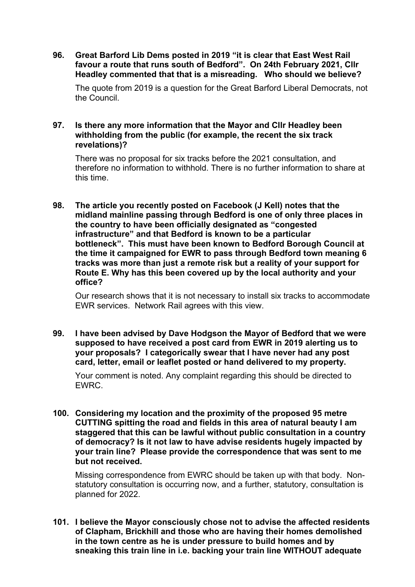**96. Great Barford Lib Dems posted in 2019 "it is clear that East West Rail favour a route that runs south of Bedford". On 24th February 2021, Cllr Headley commented that that is a misreading. Who should we believe?**

The quote from 2019 is a question for the Great Barford Liberal Democrats, not the Council.

# **97. Is there any more information that the Mayor and Cllr Headley been withholding from the public (for example, the recent the six track revelations)?**

There was no proposal for six tracks before the 2021 consultation, and therefore no information to withhold. There is no further information to share at this time.

**98. The article you recently posted on Facebook (J Kell) notes that the midland mainline passing through Bedford is one of only three places in the country to have been officially designated as "congested infrastructure" and that Bedford is known to be a particular bottleneck". This must have been known to Bedford Borough Council at the time it campaigned for EWR to pass through Bedford town meaning 6 tracks was more than just a remote risk but a reality of your support for Route E. Why has this been covered up by the local authority and your office?**

Our research shows that it is not necessary to install six tracks to accommodate EWR services. Network Rail agrees with this view.

**99. I have been advised by Dave Hodgson the Mayor of Bedford that we were supposed to have received a post card from EWR in 2019 alerting us to your proposals? I categorically swear that I have never had any post card, letter, email or leaflet posted or hand delivered to my property.**

Your comment is noted. Any complaint regarding this should be directed to EWRC.

**100. Considering my location and the proximity of the proposed 95 metre CUTTING spitting the road and fields in this area of natural beauty I am staggered that this can be lawful without public consultation in a country of democracy? Is it not law to have advise residents hugely impacted by your train line? Please provide the correspondence that was sent to me but not received.**

Missing correspondence from EWRC should be taken up with that body. Nonstatutory consultation is occurring now, and a further, statutory, consultation is planned for 2022.

**101. I believe the Mayor consciously chose not to advise the affected residents of Clapham, Brickhill and those who are having their homes demolished in the town centre as he is under pressure to build homes and by sneaking this train line in i.e. backing your train line WITHOUT adequate**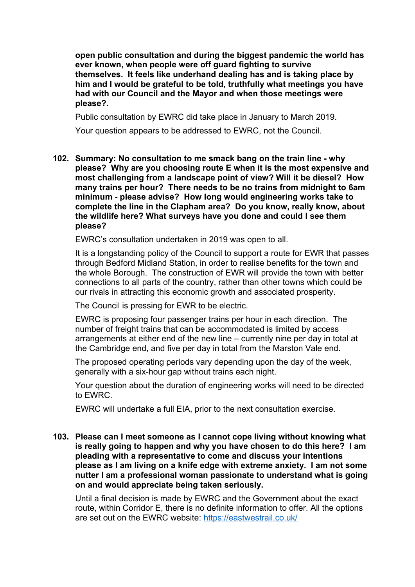**open public consultation and during the biggest pandemic the world has ever known, when people were off guard fighting to survive themselves. It feels like underhand dealing has and is taking place by him and I would be grateful to be told, truthfully what meetings you have had with our Council and the Mayor and when those meetings were please?.**

Public consultation by EWRC did take place in January to March 2019.

Your question appears to be addressed to EWRC, not the Council.

**102. Summary: No consultation to me smack bang on the train line - why please? Why are you choosing route E when it is the most expensive and most challenging from a landscape point of view? Will it be diesel? How many trains per hour? There needs to be no trains from midnight to 6am minimum - please advise? How long would engineering works take to complete the line in the Clapham area? Do you know, really know, about the wildlife here? What surveys have you done and could I see them please?**

EWRC's consultation undertaken in 2019 was open to all.

It is a longstanding policy of the Council to support a route for EWR that passes through Bedford Midland Station, in order to realise benefits for the town and the whole Borough. The construction of EWR will provide the town with better connections to all parts of the country, rather than other towns which could be our rivals in attracting this economic growth and associated prosperity.

The Council is pressing for EWR to be electric.

EWRC is proposing four passenger trains per hour in each direction. The number of freight trains that can be accommodated is limited by access arrangements at either end of the new line – currently nine per day in total at the Cambridge end, and five per day in total from the Marston Vale end.

The proposed operating periods vary depending upon the day of the week, generally with a six-hour gap without trains each night.

Your question about the duration of engineering works will need to be directed to EWRC.

EWRC will undertake a full EIA, prior to the next consultation exercise.

**103. Please can I meet someone as I cannot cope living without knowing what is really going to happen and why you have chosen to do this here? I am pleading with a representative to come and discuss your intentions please as I am living on a knife edge with extreme anxiety. I am not some nutter I am a professional woman passionate to understand what is going on and would appreciate being taken seriously.**

Until a final decision is made by EWRC and the Government about the exact route, within Corridor E, there is no definite information to offer. All the options are set out on the EWRC website:<https://eastwestrail.co.uk/>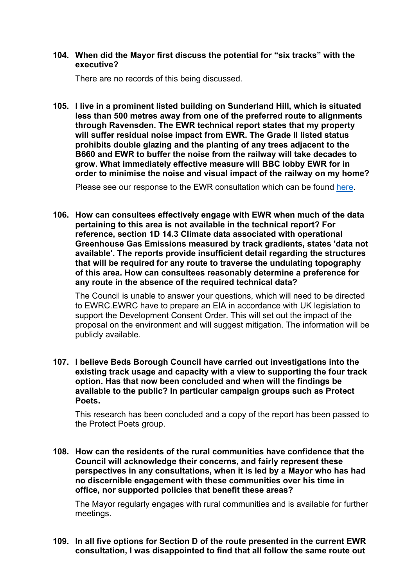#### **104. When did the Mayor first discuss the potential for "six tracks" with the executive?**

There are no records of this being discussed.

**105. I live in a prominent listed building on Sunderland Hill, which is situated less than 500 metres away from one of the preferred route to alignments through Ravensden. The EWR technical report states that my property will suffer residual noise impact from EWR. The Grade II listed status prohibits double glazing and the planting of any trees adjacent to the B660 and EWR to buffer the noise from the railway will take decades to grow. What immediately effective measure will BBC lobby EWR for in order to minimise the noise and visual impact of the railway on my home?**

Please see our response to the EWR consultation which can be found [here.](https://bbcdevwebfiles.blob.core.windows.net/webfiles/Your%20Council/Consultations/EWR%20Consultation%20Response%20post%20FC.pdf)

**106. How can consultees effectively engage with EWR when much of the data pertaining to this area is not available in the technical report? For reference, section 1D 14.3 Climate data associated with operational Greenhouse Gas Emissions measured by track gradients, states 'data not available'. The reports provide insufficient detail regarding the structures that will be required for any route to traverse the undulating topography of this area. How can consultees reasonably determine a preference for any route in the absence of the required technical data?**

The Council is unable to answer your questions, which will need to be directed to EWRC.EWRC have to prepare an EIA in accordance with UK legislation to support the Development Consent Order. This will set out the impact of the proposal on the environment and will suggest mitigation. The information will be publicly available.

**107. I believe Beds Borough Council have carried out investigations into the existing track usage and capacity with a view to supporting the four track option. Has that now been concluded and when will the findings be available to the public? In particular campaign groups such as Protect Poets.**

This research has been concluded and a copy of the report has been passed to the Protect Poets group.

**108. How can the residents of the rural communities have confidence that the Council will acknowledge their concerns, and fairly represent these perspectives in any consultations, when it is led by a Mayor who has had no discernible engagement with these communities over his time in office, nor supported policies that benefit these areas?**

The Mayor regularly engages with rural communities and is available for further meetings.

**109. In all five options for Section D of the route presented in the current EWR consultation, I was disappointed to find that all follow the same route out**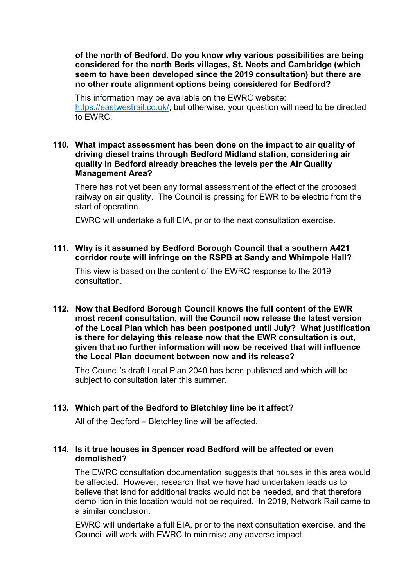**of the north of Bedford. Do you know why various possibilities are being considered for the north Beds villages, St. Neots and Cambridge (which seem to have been developed since the 2019 consultation) but there are no other route alignment options being considered for Bedford?**

This information may be available on the EWRC website: [https://eastwestrail.co.uk/,](https://eastwestrail.co.uk/) but otherwise, your question will need to be directed to EWRC.

### **110. What impact assessment has been done on the impact to air quality of driving diesel trains through Bedford Midland station, considering air quality in Bedford already breaches the levels per the Air Quality Management Area?**

There has not yet been any formal assessment of the effect of the proposed railway on air quality. The Council is pressing for EWR to be electric from the start of operation.

EWRC will undertake a full EIA, prior to the next consultation exercise.

# **111. Why is it assumed by Bedford Borough Council that a southern A421 corridor route will infringe on the RSPB at Sandy and Whimpole Hall?**

This view is based on the content of the EWRC response to the 2019 consultation.

**112. Now that Bedford Borough Council knows the full content of the EWR most recent consultation, will the Council now release the latest version of the Local Plan which has been postponed until July? What justification is there for delaying this release now that the EWR consultation is out, given that no further information will now be received that will influence the Local Plan document between now and its release?**

The Council's draft Local Plan 2040 has been published and which will be subject to consultation later this summer.

# **113. Which part of the Bedford to Bletchley line be it affect?**

All of the Bedford – Bletchley line will be affected.

# **114. Is it true houses in Spencer road Bedford will be affected or even demolished?**

The EWRC consultation documentation suggests that houses in this area would be affected. However, research that we have had undertaken leads us to believe that land for additional tracks would not be needed, and that therefore demolition in this location would not be required. In 2019, Network Rail came to a similar conclusion.

EWRC will undertake a full EIA, prior to the next consultation exercise, and the Council will work with EWRC to minimise any adverse impact.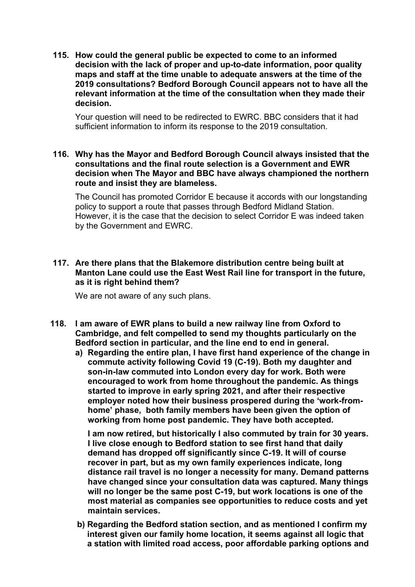**115. How could the general public be expected to come to an informed decision with the lack of proper and up-to-date information, poor quality maps and staff at the time unable to adequate answers at the time of the 2019 consultations? Bedford Borough Council appears not to have all the relevant information at the time of the consultation when they made their decision.** 

Your question will need to be redirected to EWRC. BBC considers that it had sufficient information to inform its response to the 2019 consultation.

**116. Why has the Mayor and Bedford Borough Council always insisted that the consultations and the final route selection is a Government and EWR decision when The Mayor and BBC have always championed the northern route and insist they are blameless.**

The Council has promoted Corridor E because it accords with our longstanding policy to support a route that passes through Bedford Midland Station. However, it is the case that the decision to select Corridor E was indeed taken by the Government and EWRC.

# **117. Are there plans that the Blakemore distribution centre being built at Manton Lane could use the East West Rail line for transport in the future, as it is right behind them?**

We are not aware of any such plans.

- **118. I am aware of EWR plans to build a new railway line from Oxford to Cambridge, and felt compelled to send my thoughts particularly on the Bedford section in particular, and the line end to end in general.**
	- **a) Regarding the entire plan, I have first hand experience of the change in commute activity following Covid 19 (C-19). Both my daughter and son-in-law commuted into London every day for work. Both were encouraged to work from home throughout the pandemic. As things started to improve in early spring 2021, and after their respective employer noted how their business prospered during the 'work-fromhome' phase, both family members have been given the option of working from home post pandemic. They have both accepted.**

**I am now retired, but historically I also commuted by train for 30 years. I live close enough to Bedford station to see first hand that daily demand has dropped off significantly since C-19. It will of course recover in part, but as my own family experiences indicate, long distance rail travel is no longer a necessity for many. Demand patterns have changed since your consultation data was captured. Many things will no longer be the same post C-19, but work locations is one of the most material as companies see opportunities to reduce costs and yet maintain services.**

**b) Regarding the Bedford station section, and as mentioned I confirm my interest given our family home location, it seems against all logic that a station with limited road access, poor affordable parking options and**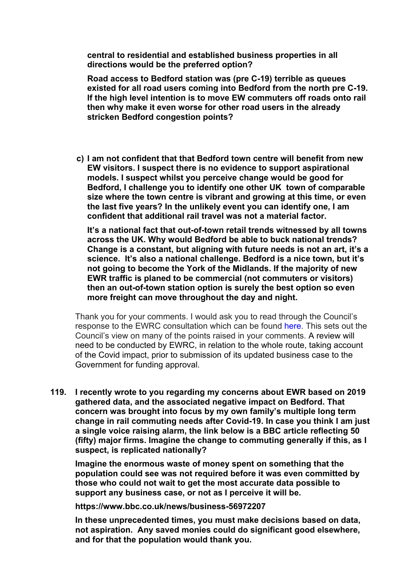**central to residential and established business properties in all directions would be the preferred option?**

**Road access to Bedford station was (pre C-19) terrible as queues existed for all road users coming into Bedford from the north pre C-19. If the high level intention is to move EW commuters off roads onto rail then why make it even worse for other road users in the already stricken Bedford congestion points?** 

**c) I am not confident that that Bedford town centre will benefit from new EW visitors. I suspect there is no evidence to support aspirational models. I suspect whilst you perceive change would be good for Bedford, I challenge you to identify one other UK town of comparable size where the town centre is vibrant and growing at this time, or even the last five years? In the unlikely event you can identify one, I am confident that additional rail travel was not a material factor.**

**It's a national fact that out-of-town retail trends witnessed by all towns across the UK. Why would Bedford be able to buck national trends? Change is a constant, but aligning with future needs is not an art, it's a science. It's also a national challenge. Bedford is a nice town, but it's not going to become the York of the Midlands. If the majority of new EWR traffic is planed to be commercial (not commuters or visitors) then an out-of-town station option is surely the best option so even more freight can move throughout the day and night.** 

Thank you for your comments. I would ask you to read through the Council's response to the EWRC consultation which can be found here. This sets out the Council's view on many of the points raised in your comments. A review will need to be conducted by EWRC, in relation to the whole route, taking account of the Covid impact, prior to submission of its updated business case to the Government for funding approval.

**119. I recently wrote to you regarding my concerns about EWR based on 2019 gathered data, and the associated negative impact on Bedford. That concern was brought into focus by my own family's multiple long term change in rail commuting needs after Covid-19. In case you think I am just a single voice raising alarm, the link below is a BBC article reflecting 50 (fifty) major firms. Imagine the change to commuting generally if this, as I suspect, is replicated nationally?**

**Imagine the enormous waste of money spent on something that the population could see was not required before it was even committed by those who could not wait to get the most accurate data possible to support any business case, or not as I perceive it will be.**

**https://www.bbc.co.uk/news/business-56972207**

**In these unprecedented times, you must make decisions based on data, not aspiration. Any saved monies could do significant good elsewhere, and for that the population would thank you.**